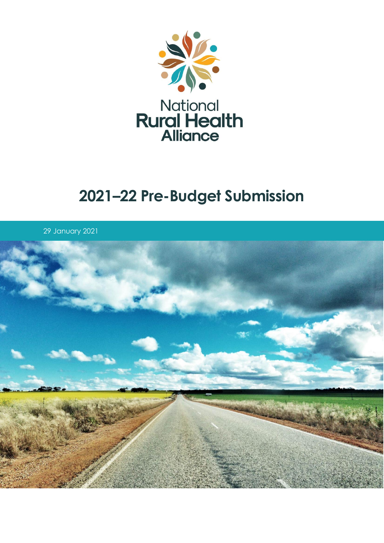

# **–22 Pre-Budget Submission**

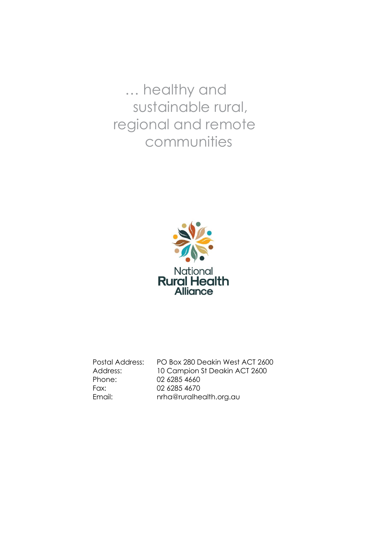… healthy and sustainable rural, regional and remote communities



Postal Address: PO Box 280 Deakin West ACT 2600 Address: 10 Campion St Deakin ACT 2600 Phone: 02 6285 4660 Fax: 02 6285 4670 Email: nrha@ruralhealth.org.au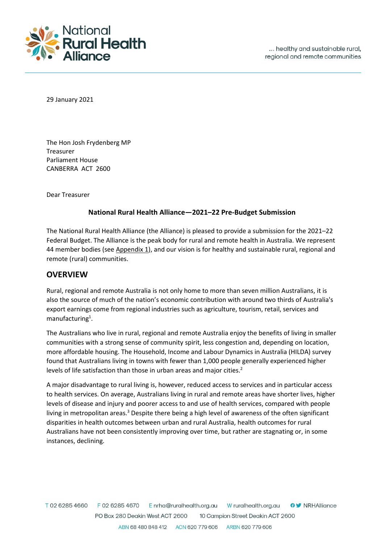

29 January 2021

The Hon Josh Frydenberg MP Treasurer Parliament House CANBERRA ACT 2600

Dear Treasurer

#### **National Rural Health Alliance—2021–22 Pre-Budget Submission**

The National Rural Health Alliance (the Alliance) is pleased to provide a submission for the 2021–22 Federal Budget. The Alliance is the peak body for rural and remote health in Australia. We represent 44 member bodies (see Appendix 1), and our vision is for healthy and sustainable rural, regional and remote (rural) communities.

### **OVERVIEW**

Rural, regional and remote Australia is not only home to more than seven million Australians, it is also the source of much of the nation's economic contribution with around two thirds of Australia's export earnings come from regional industries such as agriculture, tourism, retail, services and manufacturing<sup>1</sup>.

The Australians who live in rural, regional and remote Australia enjoy the benefits of living in smaller communities with a strong sense of community spirit, less congestion and, depending on location, more affordable housing. The Household, Income and Labour Dynamics in Australia (HILDA) survey found that Australians living in towns with fewer than 1,000 people generally experienced higher levels of life satisfaction than those in urban areas and major cities.<sup>2</sup>

A major disadvantage to rural living is, however, reduced access to services and in particular access to health services. On average, Australians living in rural and remote areas have shorter lives, higher levels of disease and injury and poorer access to and use of health services, compared with people living in metropolitan areas.<sup>3</sup> Despite there being a high level of awareness of the often significant disparities in health outcomes between urban and rural Australia, health outcomes for rural Australians have not been consistently improving over time, but rather are stagnating or, in some instances, declining.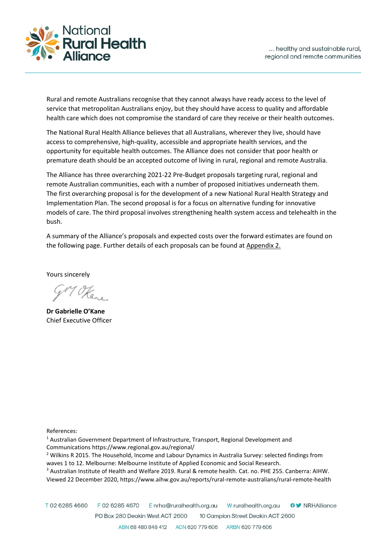

Rural and remote Australians recognise that they cannot always have ready access to the level of service that metropolitan Australians enjoy, but they should have access to quality and affordable health care which does not compromise the standard of care they receive or their health outcomes.

The National Rural Health Alliance believes that all Australians, wherever they live, should have access to comprehensive, high-quality, accessible and appropriate health services, and the opportunity for equitable health outcomes. The Alliance does not consider that poor health or premature death should be an accepted outcome of living in rural, regional and remote Australia.

The Alliance has three overarching 2021-22 Pre-Budget proposals targeting rural, regional and remote Australian communities, each with a number of proposed initiatives underneath them. The first overarching proposal is for the development of a new National Rural Health Strategy and Implementation Plan. The second proposal is for a focus on alternative funding for innovative models of care. The third proposal involves strengthening health system access and telehealth in the bush.

A summary of the Alliance's proposals and expected costs over the forward estimates are found on the following page. Further details of each proposals can be found at Appendix 2.

Yours sincerely

**Dr Gabrielle O'Kane** Chief Executive Officer

References:

- <sup>1</sup> Australian Government Department of Infrastructure, Transport, Regional Development and Communications https://www.regional.gov.au/regional/
- <sup>2</sup> Wilkins R 2015. The Household, Income and Labour Dynamics in Australia Survey: selected findings from [waves 1 to 12.](https://melbourneinstitute.unimelb.edu.au/__data/assets/pdf_file/0006/2155506/hilda-statreport-2015.pdf) Melbourne: Melbourne Institute of Applied Economic and Social Research.

<sup>3</sup> Australian Institute of Health and Welfare 2019. Rural & remote health. Cat. no. PHE 255. Canberra: AIHW. Viewed 22 December 2020, https://www.aihw.gov.au/reports/rural-remote-australians/rural-remote-health

T0262854660 F 02 6285 4670 Enrha@ruralhealth.org.au W ruralhealth.org.au **OV** NRHAlliance PO Box 280 Deakin West ACT 2600 10 Campion Street Deakin ACT 2600 ABN 68 480 848 412 ACN 620 779 606 ARBN 620 779 606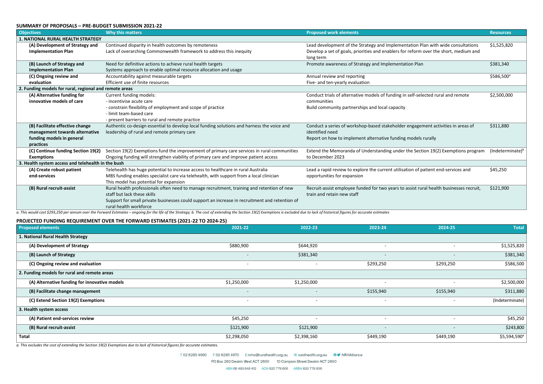#### **SUMMARY OF PROPOSALS – PRE-BUDGET SUBMISSION 2021-22**

| <b>Objectives</b>                                      | <b>Why this matters</b>                                                                        | <b>Proposed work elements</b>                                                           | <b>Resources</b>       |
|--------------------------------------------------------|------------------------------------------------------------------------------------------------|-----------------------------------------------------------------------------------------|------------------------|
| <b>1. NATIONAL RURAL HEALTH STRATEGY</b>               |                                                                                                |                                                                                         |                        |
| (A) Development of Strategy and                        | Continued disparity in health outcomes by remoteness                                           | Lead development of the Strategy and Implementation Plan with wide consultations        | \$1,525,820            |
| <b>Implementation Plan</b>                             | Lack of overarching Commonwealth framework to address this inequity                            | Develop a set of goals, priorities and enablers for reform over the short, medium and   |                        |
|                                                        |                                                                                                | long term                                                                               |                        |
| (B) Launch of Strategy and                             | Need for definitive actions to achieve rural health targets                                    | Promote awareness of Strategy and Implementation Plan                                   | \$381,340              |
| <b>Implementation Plan</b>                             | Systems approach to enable optimal resource allocation and usage                               |                                                                                         |                        |
| (C) Ongoing review and                                 | Accountability against measurable targets                                                      | Annual review and reporting                                                             | \$586,500 <sup>a</sup> |
| evaluation                                             | Efficient use of finite resources                                                              | Five- and ten-yearly evaluation                                                         |                        |
| 2. Funding models for rural, regional and remote areas |                                                                                                |                                                                                         |                        |
| (A) Alternative funding for                            | Current funding models:                                                                        | Conduct trials of alternative models of funding in self-selected rural and remote       | \$2,500,000            |
| innovative models of care                              | - incentivise acute care                                                                       | communities                                                                             |                        |
|                                                        | - constrain flexibility of employment and scope of practice                                    | Build community partnerships and local capacity                                         |                        |
|                                                        | - limit team-based care                                                                        |                                                                                         |                        |
|                                                        | - present barriers to rural and remote practice                                                |                                                                                         |                        |
| (B) Facilitate effective change                        | Authentic co-design essential to develop local funding solutions and harness the voice and     | Conduct a series of workshop-based stakeholder engagement activities in areas of        | \$311,880              |
| management towards alternative                         | leadership of rural and remote primary care                                                    | identified need                                                                         |                        |
| funding models in general                              |                                                                                                | Report on how to implement alternative funding models rurally                           |                        |
| practices                                              |                                                                                                |                                                                                         |                        |
| (C) Continue funding Section 19(2)                     | Section 19(2) Exemptions fund the improvement of primary care services in rural communities    | Extend the Memoranda of Understanding under the Section 19(2) Exemptions program        | $(Indeterminate)^b$    |
| <b>Exemptions</b>                                      | Ongoing funding will strengthen viability of primary care and improve patient access           | to December 2023                                                                        |                        |
| 3. Health system access and telehealth in the bush     |                                                                                                |                                                                                         |                        |
| (A) Create robust patient                              | Telehealth has huge potential to increase access to healthcare in rural Australia              | Lead a rapid review to explore the current utilisation of patient end-services and      | \$45,250               |
| end-services                                           | MBS funding enables specialist care via telehealth, with support from a local clinician        | opportunities for expansion                                                             |                        |
|                                                        | This model has potential for expansion                                                         |                                                                                         |                        |
| (B) Rural recruit-assist                               | Rural health professionals often need to manage recruitment, training and retention of new     | Recruit-assist employee funded for two years to assist rural health businesses recruit, | \$121,900              |
|                                                        | staff but lack these skills                                                                    | train and retain new staff                                                              |                        |
|                                                        | Support for small private businesses could support an increase in recruitment and retention of |                                                                                         |                        |
|                                                        | rural health workforce                                                                         |                                                                                         |                        |

a. This would cost \$293,250 per annum over the Forward Estimates – ongoing for the life of the Strategy; b. The cost of extending the Section 19(2) Exemptions is excluded due to lack of historical figures for accurate esti

#### **PROJECTED FUNDING REQUIREMENT OVER THE FORWARD ESTIMATES (2021-22 TO 2024-25)**

| <b>Proposed elements</b>                      | 2021-22                  | 2022-23                  | 2023-24                  | 2024-25                  | <b>Total</b>             |
|-----------------------------------------------|--------------------------|--------------------------|--------------------------|--------------------------|--------------------------|
| 1. National Rural Health Strategy             |                          |                          |                          |                          |                          |
| (A) Development of Strategy                   | \$880,900                | \$644,920                | $\overline{\phantom{0}}$ |                          | \$1,525,820              |
| (B) Launch of Strategy                        | $\overline{\phantom{a}}$ | \$381,340                | $\overline{\phantom{a}}$ | $\overline{\phantom{a}}$ | \$381,340                |
| (C) Ongoing review and evaluation             | $\overline{\phantom{a}}$ |                          | \$293,250                | \$293,250                | \$586,500                |
| 2. Funding models for rural and remote areas  |                          |                          |                          |                          |                          |
| (A) Alternative funding for innovative models | \$1,250,000              | \$1,250,000              |                          |                          | \$2,500,000              |
| (B) Facilitate change management              |                          | $\overline{\phantom{0}}$ | \$155,940                | \$155,940                | \$311,880                |
| (C) Extend Section 19(2) Exemptions           | $\overline{\phantom{a}}$ | $\overline{\phantom{0}}$ | $\overline{\phantom{0}}$ | $\overline{\phantom{a}}$ | (Indeterminate)          |
| 3. Health system access                       |                          |                          |                          |                          |                          |
| (A) Patient end-services review               | \$45,250                 |                          | $\overline{\phantom{a}}$ |                          | \$45,250                 |
| (B) Rural recruit-assist                      | \$121,900                | \$121,900                | $\overline{\phantom{a}}$ | $\overline{\phantom{a}}$ | \$243,800                |
| <b>Total</b>                                  | \$2,298,050              | \$2,398,160              | \$449,190                | \$449,190                | \$5,594,590 <sup>a</sup> |

*a. This excludes the cost of extending the Section 19(2) Exemptions due to lack of historical figures for accurate estimates.*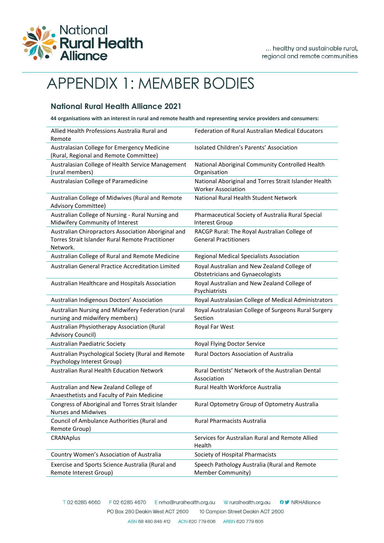

# APPENDIX 1: MEMBER BODIES

### **National Rural Health Alliance 2021**

**44 organisations with an interest in rural and remote health and representing service providers and consumers:**

| Allied Health Professions Australia Rural and<br>Remote                                                             | Federation of Rural Australian Medical Educators                                       |
|---------------------------------------------------------------------------------------------------------------------|----------------------------------------------------------------------------------------|
| Australasian College for Emergency Medicine<br>(Rural, Regional and Remote Committee)                               | Isolated Children's Parents' Association                                               |
| Australasian College of Health Service Management<br>(rural members)                                                | National Aboriginal Community Controlled Health<br>Organisation                        |
| Australasian College of Paramedicine                                                                                | National Aboriginal and Torres Strait Islander Health<br><b>Worker Association</b>     |
| Australian College of Midwives (Rural and Remote<br>Advisory Committee)                                             | National Rural Health Student Network                                                  |
| Australian College of Nursing - Rural Nursing and<br>Midwifery Community of Interest                                | Pharmaceutical Society of Australia Rural Special<br>Interest Group                    |
| Australian Chiropractors Association Aboriginal and<br>Torres Strait Islander Rural Remote Practitioner<br>Network. | RACGP Rural: The Royal Australian College of<br><b>General Practitioners</b>           |
| Australian College of Rural and Remote Medicine                                                                     | Regional Medical Specialists Association                                               |
| Australian General Practice Accreditation Limited                                                                   | Royal Australian and New Zealand College of<br><b>Obstetricians and Gynaecologists</b> |
| Australian Healthcare and Hospitals Association                                                                     | Royal Australian and New Zealand College of<br>Psychiatrists                           |
| Australian Indigenous Doctors' Association                                                                          | Royal Australasian College of Medical Administrators                                   |
| Australian Nursing and Midwifery Federation (rural<br>nursing and midwifery members)                                | Royal Australasian College of Surgeons Rural Surgery<br>Section                        |
| Australian Physiotherapy Association (Rural<br>Advisory Council)                                                    | Royal Far West                                                                         |
| Australian Paediatric Society                                                                                       | Royal Flying Doctor Service                                                            |
| Australian Psychological Society (Rural and Remote<br>Psychology Interest Group)                                    | <b>Rural Doctors Association of Australia</b>                                          |
| <b>Australian Rural Health Education Network</b>                                                                    | Rural Dentists' Network of the Australian Dental<br>Association                        |
| Australian and New Zealand College of<br>Anaesthetists and Faculty of Pain Medicine                                 | Rural Health Workforce Australia                                                       |
| Congress of Aboriginal and Torres Strait Islander<br><b>Nurses and Midwives</b>                                     | Rural Optometry Group of Optometry Australia                                           |
| Council of Ambulance Authorities (Rural and<br>Remote Group)                                                        | Rural Pharmacists Australia                                                            |
| <b>CRANAplus</b>                                                                                                    | Services for Australian Rural and Remote Allied<br>Health                              |
| Country Women's Association of Australia                                                                            | Society of Hospital Pharmacists                                                        |
| Exercise and Sports Science Australia (Rural and<br>Remote Interest Group)                                          | Speech Pathology Australia (Rural and Remote<br>Member Community)                      |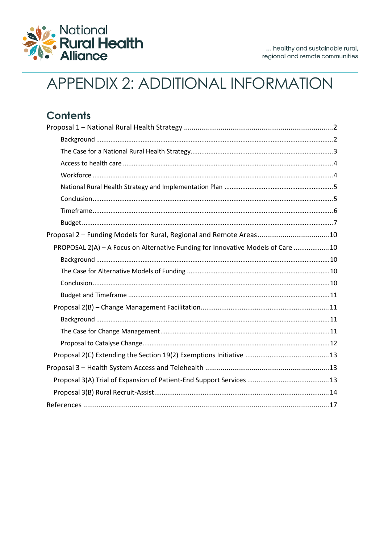

# APPENDIX 2: ADDITIONAL INFORMATION

| <b>Contents</b>                                                                  |
|----------------------------------------------------------------------------------|
|                                                                                  |
|                                                                                  |
|                                                                                  |
|                                                                                  |
|                                                                                  |
|                                                                                  |
|                                                                                  |
|                                                                                  |
|                                                                                  |
| Proposal 2 - Funding Models for Rural, Regional and Remote Areas10               |
| PROPOSAL 2(A) - A Focus on Alternative Funding for Innovative Models of Care  10 |
|                                                                                  |
|                                                                                  |
|                                                                                  |
|                                                                                  |
|                                                                                  |
|                                                                                  |
|                                                                                  |
|                                                                                  |
|                                                                                  |
|                                                                                  |
|                                                                                  |
|                                                                                  |
|                                                                                  |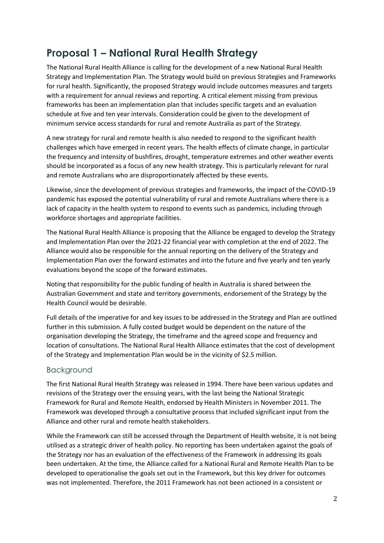# <span id="page-7-0"></span>**Proposal 1 – National Rural Health Strategy**

The National Rural Health Alliance is calling for the development of a new National Rural Health Strategy and Implementation Plan. The Strategy would build on previous Strategies and Frameworks for rural health. Significantly, the proposed Strategy would include outcomes measures and targets with a requirement for annual reviews and reporting. A critical element missing from previous frameworks has been an implementation plan that includes specific targets and an evaluation schedule at five and ten year intervals. Consideration could be given to the development of minimum service access standards for rural and remote Australia as part of the Strategy.

A new strategy for rural and remote health is also needed to respond to the significant health challenges which have emerged in recent years. The health effects of climate change, in particular the frequency and intensity of bushfires, drought, temperature extremes and other weather events should be incorporated as a focus of any new health strategy. This is particularly relevant for rural and remote Australians who are disproportionately affected by these events.

Likewise, since the development of previous strategies and frameworks, the impact of the COVID-19 pandemic has exposed the potential vulnerability of rural and remote Australians where there is a lack of capacity in the health system to respond to events such as pandemics, including through workforce shortages and appropriate facilities.

The National Rural Health Alliance is proposing that the Alliance be engaged to develop the Strategy and Implementation Plan over the 2021-22 financial year with completion at the end of 2022. The Alliance would also be responsible for the annual reporting on the delivery of the Strategy and Implementation Plan over the forward estimates and into the future and five yearly and ten yearly evaluations beyond the scope of the forward estimates.

Noting that responsibility for the public funding of health in Australia is shared between the Australian Government and state and territory governments, endorsement of the Strategy by the Health Council would be desirable.

Full details of the imperative for and key issues to be addressed in the Strategy and Plan are outlined further in this submission. A fully costed budget would be dependent on the nature of the organisation developing the Strategy, the timeframe and the agreed scope and frequency and location of consultations. The National Rural Health Alliance estimates that the cost of development of the Strategy and Implementation Plan would be in the vicinity of \$2.5 million.

### <span id="page-7-1"></span>Background

The first National Rural Health Strategy was released in 1994. There have been various updates and revisions of the Strategy over the ensuing years, with the last being the National Strategic Framework for Rural and Remote Health, endorsed by Health Ministers in November 2011. The Framework was developed through a consultative process that included significant input from the Alliance and other rural and remote health stakeholders.

While the Framework can still be accessed through the Department of Health website, it is not being utilised as a strategic driver of health policy. No reporting has been undertaken against the goals of the Strategy nor has an evaluation of the effectiveness of the Framework in addressing its goals been undertaken. At the time, the Alliance called for a National Rural and Remote Health Plan to be developed to operationalise the goals set out in the Framework, but this key driver for outcomes was not implemented. Therefore, the 2011 Framework has not been actioned in a consistent or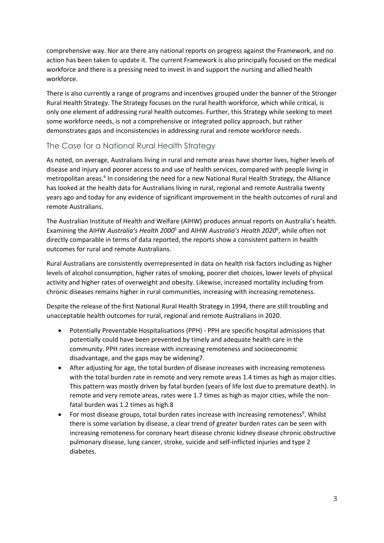comprehensive way. Nor are there any national reports on progress against the Framework, and no action has been taken to update it. The current Framework is also principally focused on the medical workforce and there is a pressing need to invest in and support the nursing and allied health workforce.

There is also currently a range of programs and incentives grouped under the banner of the Stronger Rural Health Strategy. The Strategy focuses on the rural health workforce, which while critical, is only one element of addressing rural health outcomes. Further, this Strategy while seeking to meet some workforce needs, is not a comprehensive or integrated policy approach, but rather demonstrates gaps and inconsistencies in addressing rural and remote workforce needs.

### <span id="page-8-0"></span>The Case for a National Rural Health Strategy

As noted, on average, Australians living in rural and remote areas have shorter lives, higher levels of disease and injury and poorer access to and use of health services, compared with people living in metropolitan areas.<sup>4</sup> In considering the need for a new National Rural Health Strategy, the Alliance has looked at the health data for Australians living in rural, regional and remote Australia twenty years ago and today for any evidence of significant improvement in the health outcomes of rural and remote Australians.

The Australian Institute of Health and Welfare (AIHW) produces annual reports on Australia's health. Examining the AIHW *Australia's Health 2000*<sup>5</sup> and AIHW *Australia's Health 2020*<sup>6</sup> , while often not directly comparable in terms of data reported, the reports show a consistent pattern in health outcomes for rural and remote Australians.

Rural Australians are consistently overrepresented in data on health risk factors including as higher levels of alcohol consumption, higher rates of smoking, poorer diet choices, lower levels of physical activity and higher rates of overweight and obesity. Likewise, increased mortality including from chronic diseases remains higher in rural communities, increasing with increasing remoteness.

Despite the release of the first National Rural Health Strategy in 1994, there are still troubling and unacceptable health outcomes for rural, regional and remote Australians in 2020.

- Potentially Preventable Hospitalisations (PPH) PPH are specific hospital admissions that potentially could have been prevented by timely and adequate health care in the community. PPH rates increase with increasing remoteness and socioeconomic disadvantage, and the gaps may be widening7.
- After adjusting for age, the total burden of disease increases with increasing remoteness with the total burden rate in remote and very remote areas 1.4 times as high as major cities. This pattern was mostly driven by fatal burden (years of life lost due to premature death). In remote and very remote areas, rates were 1.7 times as high as major cities, while the nonfatal burden was 1.2 times as high.8
- $\bullet$  For most disease groups, total burden rates increase with increasing remoteness<sup>9</sup>. Whilst there is some variation by disease, a clear trend of greater burden rates can be seen with increasing remoteness for coronary heart disease chronic kidney disease chronic obstructive pulmonary disease, lung cancer, stroke, suicide and self-inflicted injuries and type 2 diabetes.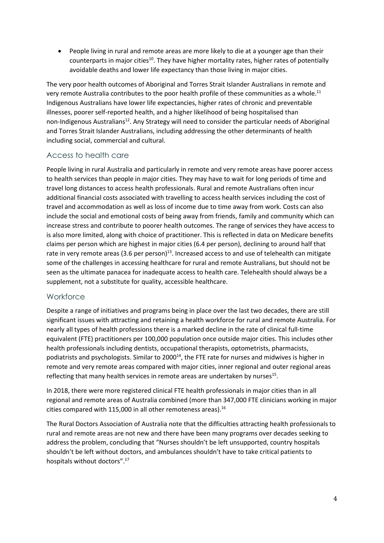• People living in rural and remote areas are more likely to die at a younger age than their counterparts in major cities<sup>10</sup>. They have higher mortality rates, higher rates of potentially avoidable deaths and lower life expectancy than those living in major cities.

The very poor health outcomes of Aboriginal and Torres Strait Islander Australians in remote and very remote Australia contributes to the poor health profile of these communities as a whole. $^{\rm 11}$ Indigenous Australians have lower life expectancies, higher rates of chronic and preventable illnesses, poorer self-reported health, and a higher likelihood of being hospitalised than non-Indigenous Australians<sup>12</sup>. Any Strategy will need to consider the particular needs of Aboriginal and Torres Strait Islander Australians, including addressing the other determinants of health including social, commercial and cultural.

### <span id="page-9-0"></span>Access to health care

People living in rural Australia and particularly in remote and very remote areas have poorer access to health services than people in major cities. They may have to wait for long periods of time and travel long distances to access health professionals. Rural and remote Australians often incur additional financial costs associated with travelling to access health services including the cost of travel and accommodation as well as loss of income due to time away from work. Costs can also include the social and emotional costs of being away from friends, family and community which can increase stress and contribute to poorer health outcomes. The range of services they have access to is also more limited, along with choice of practitioner. This is reflected in data on Medicare benefits claims per person which are highest in major cities (6.4 per person), declining to around half that rate in very remote areas (3.6 per person)<sup>13</sup>. Increased access to and use of telehealth can mitigate some of the challenges in accessing healthcare for rural and remote Australians, but should not be seen as the ultimate panacea for inadequate access to health care. Telehealth should always be a supplement, not a substitute for quality, accessible healthcare.

### <span id="page-9-1"></span>**Workforce**

Despite a range of initiatives and programs being in place over the last two decades, there are still significant issues with attracting and retaining a health workforce for rural and remote Australia. For nearly all types of health professions there is a marked decline in the rate of clinical full-time equivalent (FTE) practitioners per 100,000 population once outside major cities. This includes other health professionals including dentists, occupational therapists, optometrists, pharmacists, podiatrists and psychologists. Similar to 2000<sup>14</sup>, the FTE rate for nurses and midwives is higher in remote and very remote areas compared with major cities, inner regional and outer regional areas reflecting that many health services in remote areas are undertaken by nurses<sup>15</sup>.

In 2018, there were more registered clinical FTE health professionals in major cities than in all regional and remote areas of Australia combined (more than 347,000 FTE clinicians working in major cities compared with 115,000 in all other remoteness areas). 16

The Rural Doctors Association of Australia note that the difficulties attracting health professionals to rural and remote areas are not new and there have been many programs over decades seeking to address the problem, concluding that "Nurses shouldn't be left unsupported, country hospitals shouldn't be left without doctors, and ambulances shouldn't have to take critical patients to hospitals without doctors".<sup>17</sup>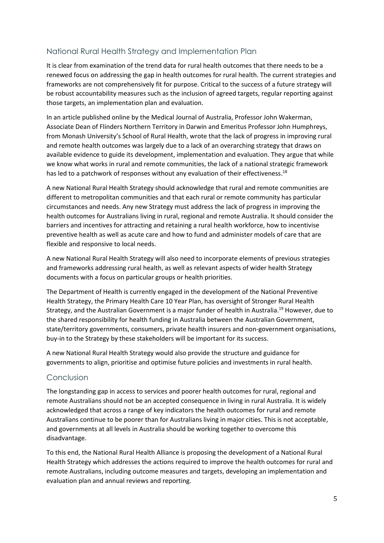### <span id="page-10-0"></span>National Rural Health Strategy and Implementation Plan

It is clear from examination of the trend data for rural health outcomes that there needs to be a renewed focus on addressing the gap in health outcomes for rural health. The current strategies and frameworks are not comprehensively fit for purpose. Critical to the success of a future strategy will be robust accountability measures such as the inclusion of agreed targets, regular reporting against those targets, an implementation plan and evaluation.

In an article published online by the Medical Journal of Australia, Professor John Wakerman, Associate Dean of Flinders Northern Territory in Darwin and Emeritus Professor John Humphreys, from Monash University's School of Rural Health, wrote that the lack of progress in improving rural and remote health outcomes was largely due to a lack of an overarching strategy that draws on available evidence to guide its development, implementation and evaluation. They argue that while we know what works in rural and remote communities, the lack of a national strategic framework has led to a patchwork of responses without any evaluation of their effectiveness. 18

A new National Rural Health Strategy should acknowledge that rural and remote communities are different to metropolitan communities and that each rural or remote community has particular circumstances and needs. Any new Strategy must address the lack of progress in improving the health outcomes for Australians living in rural, regional and remote Australia. It should consider the barriers and incentives for attracting and retaining a rural health workforce, how to incentivise preventive health as well as acute care and how to fund and administer models of care that are flexible and responsive to local needs.

A new National Rural Health Strategy will also need to incorporate elements of previous strategies and frameworks addressing rural health, as well as relevant aspects of wider health Strategy documents with a focus on particular groups or health priorities.

The Department of Health is currently engaged in the development of the National Preventive Health Strategy, the Primary Health Care 10 Year Plan, has oversight of Stronger Rural Health Strategy, and the Australian Government is a major funder of health in Australia.<sup>19</sup> However, due to the shared responsibility for health funding in Australia between the Australian Government, state/territory governments, consumers, private health insurers and non-government organisations, buy-in to the Strategy by these stakeholders will be important for its success.

A new National Rural Health Strategy would also provide the structure and guidance for governments to align, prioritise and optimise future policies and investments in rural health.

### <span id="page-10-1"></span>Conclusion

The longstanding gap in access to services and poorer health outcomes for rural, regional and remote Australians should not be an accepted consequence in living in rural Australia. It is widely acknowledged that across a range of key indicators the health outcomes for rural and remote Australians continue to be poorer than for Australians living in major cities. This is not acceptable, and governments at all levels in Australia should be working together to overcome this disadvantage.

To this end, the National Rural Health Alliance is proposing the development of a National Rural Health Strategy which addresses the actions required to improve the health outcomes for rural and remote Australians, including outcome measures and targets, developing an implementation and evaluation plan and annual reviews and reporting.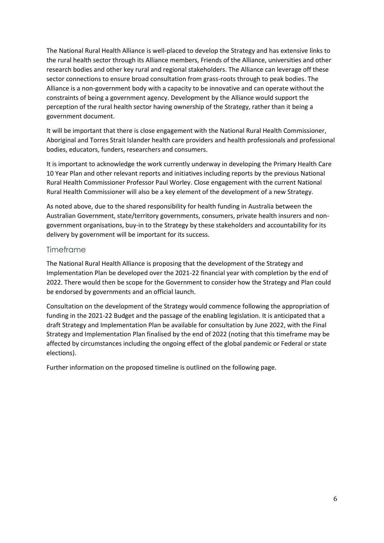The National Rural Health Alliance is well-placed to develop the Strategy and has extensive links to the rural health sector through its Alliance members, Friends of the Alliance, universities and other research bodies and other key rural and regional stakeholders. The Alliance can leverage off these sector connections to ensure broad consultation from grass-roots through to peak bodies. The Alliance is a non-government body with a capacity to be innovative and can operate without the constraints of being a government agency. Development by the Alliance would support the perception of the rural health sector having ownership of the Strategy, rather than it being a government document.

It will be important that there is close engagement with the National Rural Health Commissioner, Aboriginal and Torres Strait Islander health care providers and health professionals and professional bodies, educators, funders, researchers and consumers.

It is important to acknowledge the work currently underway in developing the Primary Health Care 10 Year Plan and other relevant reports and initiatives including reports by the previous National Rural Health Commissioner Professor Paul Worley. Close engagement with the current National Rural Health Commissioner will also be a key element of the development of a new Strategy.

As noted above, due to the shared responsibility for health funding in Australia between the Australian Government, state/territory governments, consumers, private health insurers and nongovernment organisations, buy-in to the Strategy by these stakeholders and accountability for its delivery by government will be important for its success.

#### <span id="page-11-0"></span>Timeframe

The National Rural Health Alliance is proposing that the development of the Strategy and Implementation Plan be developed over the 2021-22 financial year with completion by the end of 2022. There would then be scope for the Government to consider how the Strategy and Plan could be endorsed by governments and an official launch.

Consultation on the development of the Strategy would commence following the appropriation of funding in the 2021-22 Budget and the passage of the enabling legislation. It is anticipated that a draft Strategy and Implementation Plan be available for consultation by June 2022, with the Final Strategy and Implementation Plan finalised by the end of 2022 (noting that this timeframe may be affected by circumstances including the ongoing effect of the global pandemic or Federal or state elections).

Further information on the proposed timeline is outlined on the following page.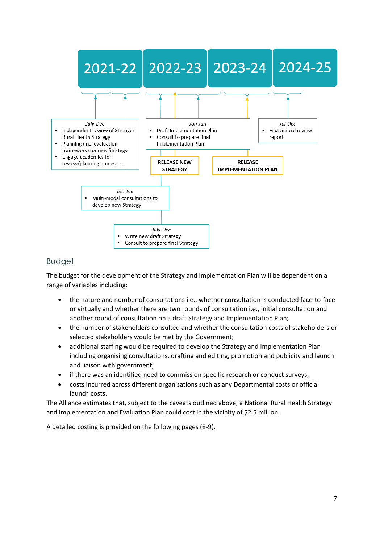

### <span id="page-12-0"></span>Budget

The budget for the development of the Strategy and Implementation Plan will be dependent on a range of variables including:

- the nature and number of consultations i.e., whether consultation is conducted face-to-face or virtually and whether there are two rounds of consultation i.e., initial consultation and another round of consultation on a draft Strategy and Implementation Plan;
- the number of stakeholders consulted and whether the consultation costs of stakeholders or selected stakeholders would be met by the Government;
- additional staffing would be required to develop the Strategy and Implementation Plan including organising consultations, drafting and editing, promotion and publicity and launch and liaison with government,
- if there was an identified need to commission specific research or conduct surveys,
- costs incurred across different organisations such as any Departmental costs or official launch costs.

The Alliance estimates that, subject to the caveats outlined above, a National Rural Health Strategy and Implementation and Evaluation Plan could cost in the vicinity of \$2.5 million.

A detailed costing is provided on the following pages (8-9).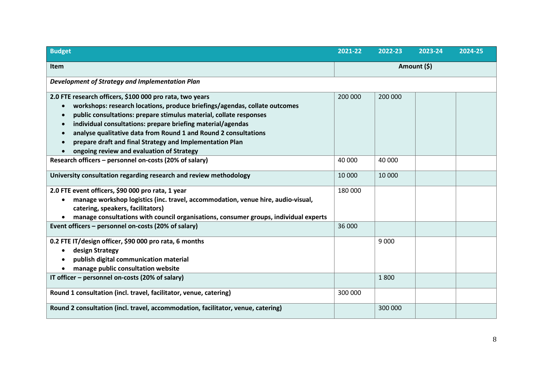| <b>Budget</b>                                                                                                         | 2021-22     | 2022-23 | 2023-24 | 2024-25 |
|-----------------------------------------------------------------------------------------------------------------------|-------------|---------|---------|---------|
| <b>Item</b>                                                                                                           | Amount (\$) |         |         |         |
| Development of Strategy and Implementation Plan                                                                       |             |         |         |         |
| 2.0 FTE research officers, \$100 000 pro rata, two years                                                              | 200 000     | 200 000 |         |         |
| workshops: research locations, produce briefings/agendas, collate outcomes                                            |             |         |         |         |
| public consultations: prepare stimulus material, collate responses                                                    |             |         |         |         |
| individual consultations: prepare briefing material/agendas                                                           |             |         |         |         |
| analyse qualitative data from Round 1 and Round 2 consultations                                                       |             |         |         |         |
| prepare draft and final Strategy and Implementation Plan                                                              |             |         |         |         |
| ongoing review and evaluation of Strategy                                                                             |             |         |         |         |
| Research officers – personnel on-costs (20% of salary)                                                                | 40 000      | 40 000  |         |         |
| University consultation regarding research and review methodology                                                     | 10 000      | 10 000  |         |         |
| 2.0 FTE event officers, \$90 000 pro rata, 1 year                                                                     | 180 000     |         |         |         |
| manage workshop logistics (inc. travel, accommodation, venue hire, audio-visual,<br>catering, speakers, facilitators) |             |         |         |         |
| manage consultations with council organisations, consumer groups, individual experts                                  |             |         |         |         |
| Event officers - personnel on-costs (20% of salary)                                                                   | 36 000      |         |         |         |
| 0.2 FTE IT/design officer, \$90 000 pro rata, 6 months                                                                |             | 9 0 0 0 |         |         |
| design Strategy                                                                                                       |             |         |         |         |
| publish digital communication material                                                                                |             |         |         |         |
| manage public consultation website                                                                                    |             |         |         |         |
| IT officer - personnel on-costs (20% of salary)                                                                       |             | 1800    |         |         |
| Round 1 consultation (incl. travel, facilitator, venue, catering)                                                     | 300 000     |         |         |         |
| Round 2 consultation (incl. travel, accommodation, facilitator, venue, catering)                                      |             | 300 000 |         |         |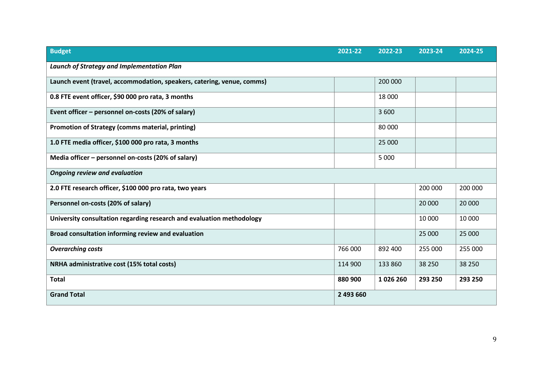| <b>Budget</b>                                                          | 2021-22   | 2022-23 | 2023-24 | 2024-25 |
|------------------------------------------------------------------------|-----------|---------|---------|---------|
| <b>Launch of Strategy and Implementation Plan</b>                      |           |         |         |         |
| Launch event (travel, accommodation, speakers, catering, venue, comms) |           | 200 000 |         |         |
| 0.8 FTE event officer, \$90 000 pro rata, 3 months                     |           | 18 000  |         |         |
| Event officer - personnel on-costs (20% of salary)                     |           | 3 600   |         |         |
| Promotion of Strategy (comms material, printing)                       |           | 80 000  |         |         |
| 1.0 FTE media officer, \$100 000 pro rata, 3 months                    |           | 25 000  |         |         |
| Media officer - personnel on-costs (20% of salary)                     |           | 5 0 0 0 |         |         |
| <b>Ongoing review and evaluation</b>                                   |           |         |         |         |
| 2.0 FTE research officer, \$100 000 pro rata, two years                |           |         | 200 000 | 200 000 |
| Personnel on-costs (20% of salary)                                     |           |         | 20 000  | 20 000  |
| University consultation regarding research and evaluation methodology  |           |         | 10 000  | 10 000  |
| Broad consultation informing review and evaluation                     |           |         | 25 000  | 25 000  |
| <b>Overarching costs</b>                                               | 766 000   | 892 400 | 255 000 | 255 000 |
| NRHA administrative cost (15% total costs)                             | 114 900   | 133 860 | 38 250  | 38 250  |
| <b>Total</b>                                                           | 880 900   | 1026260 | 293 250 | 293 250 |
| <b>Grand Total</b>                                                     | 2 493 660 |         |         |         |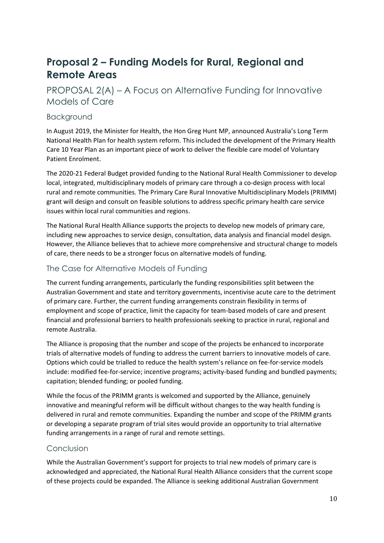## <span id="page-15-0"></span>**Proposal 2 – Funding Models for Rural, Regional and Remote Areas**

### <span id="page-15-1"></span>PROPOSAL 2(A) – A Focus on Alternative Funding for Innovative Models of Care

### <span id="page-15-2"></span>Background

In August 2019, the Minister for Health, the Hon Greg Hunt MP, announced Australia's Long Term National Health Plan for health system reform. This included the development of the Primary Health Care 10 Year Plan as an important piece of work to deliver the flexible care model of Voluntary Patient Enrolment.

The 2020-21 Federal Budget provided funding to the National Rural Health Commissioner to develop local, integrated, multidisciplinary models of primary care through a co-design process with local rural and remote communities. The Primary Care Rural Innovative Multidisciplinary Models (PRIMM) grant will design and consult on feasible solutions to address specific primary health care service issues within local rural communities and regions.

The National Rural Health Alliance supports the projects to develop new models of primary care, including new approaches to service design, consultation, data analysis and financial model design. However, the Alliance believes that to achieve more comprehensive and structural change to models of care, there needs to be a stronger focus on alternative models of funding.

### <span id="page-15-3"></span>The Case for Alternative Models of Funding

The current funding arrangements, particularly the funding responsibilities split between the Australian Government and state and territory governments, incentivise acute care to the detriment of primary care. Further, the current funding arrangements constrain flexibility in terms of employment and scope of practice, limit the capacity for team-based models of care and present financial and professional barriers to health professionals seeking to practice in rural, regional and remote Australia.

The Alliance is proposing that the number and scope of the projects be enhanced to incorporate trials of alternative models of funding to address the current barriers to innovative models of care. Options which could be trialled to reduce the health system's reliance on fee-for-service models include: modified fee-for-service; incentive programs; activity-based funding and bundled payments; capitation; blended funding; or pooled funding.

While the focus of the PRIMM grants is welcomed and supported by the Alliance, genuinely innovative and meaningful reform will be difficult without changes to the way health funding is delivered in rural and remote communities. Expanding the number and scope of the PRIMM grants or developing a separate program of trial sites would provide an opportunity to trial alternative funding arrangements in a range of rural and remote settings.

### <span id="page-15-4"></span>Conclusion

While the Australian Government's support for projects to trial new models of primary care is acknowledged and appreciated, the National Rural Health Alliance considers that the current scope of these projects could be expanded. The Alliance is seeking additional Australian Government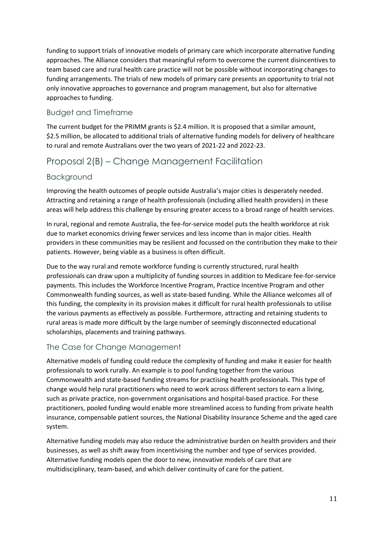funding to support trials of innovative models of primary care which incorporate alternative funding approaches. The Alliance considers that meaningful reform to overcome the current disincentives to team based care and rural health care practice will not be possible without incorporating changes to funding arrangements. The trials of new models of primary care presents an opportunity to trial not only innovative approaches to governance and program management, but also for alternative approaches to funding.

### <span id="page-16-0"></span>Budget and Timeframe

The current budget for the PRIMM grants is \$2.4 million. It is proposed that a similar amount, \$2.5 million, be allocated to additional trials of alternative funding models for delivery of healthcare to rural and remote Australians over the two years of 2021-22 and 2022-23.

### <span id="page-16-1"></span>Proposal 2(B) – Change Management Facilitation

### <span id="page-16-2"></span>Background

Improving the health outcomes of people outside Australia's major cities is desperately needed. Attracting and retaining a range of health professionals (including allied health providers) in these areas will help address this challenge by ensuring greater access to a broad range of health services.

In rural, regional and remote Australia, the fee-for-service model puts the health workforce at risk due to market economics driving fewer services and less income than in major cities. Health providers in these communities may be resilient and focussed on the contribution they make to their patients. However, being viable as a business is often difficult.

Due to the way rural and remote workforce funding is currently structured, rural health professionals can draw upon a multiplicity of funding sources in addition to Medicare fee-for-service payments. This includes the Workforce Incentive Program, Practice Incentive Program and other Commonwealth funding sources, as well as state-based funding. While the Alliance welcomes all of this funding, the complexity in its provision makes it difficult for rural health professionals to utilise the various payments as effectively as possible. Furthermore, attracting and retaining students to rural areas is made more difficult by the large number of seemingly disconnected educational scholarships, placements and training pathways.

### <span id="page-16-3"></span>The Case for Change Management

Alternative models of funding could reduce the complexity of funding and make it easier for health professionals to work rurally. An example is to pool funding together from the various Commonwealth and state-based funding streams for practising health professionals. This type of change would help rural practitioners who need to work across different sectors to earn a living, such as private practice, non-government organisations and hospital-based practice. For these practitioners, pooled funding would enable more streamlined access to funding from private health insurance, compensable patient sources, the National Disability Insurance Scheme and the aged care system.

Alternative funding models may also reduce the administrative burden on health providers and their businesses, as well as shift away from incentivising the number and type of services provided. Alternative funding models open the door to new, innovative models of care that are multidisciplinary, team-based, and which deliver continuity of care for the patient.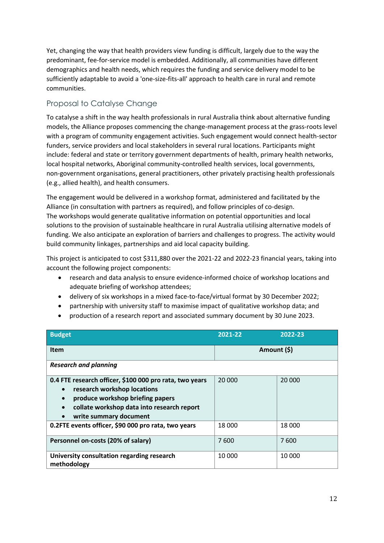Yet, changing the way that health providers view funding is difficult, largely due to the way the predominant, fee-for-service model is embedded. Additionally, all communities have different demographics and health needs, which requires the funding and service delivery model to be sufficiently adaptable to avoid a 'one-size-fits-all' approach to health care in rural and remote communities.

### <span id="page-17-0"></span>Proposal to Catalyse Change

To catalyse a shift in the way health professionals in rural Australia think about alternative funding models, the Alliance proposes commencing the change-management process at the grass-roots level with a program of community engagement activities. Such engagement would connect health-sector funders, service providers and local stakeholders in several rural locations. Participants might include: federal and state or territory government departments of health, primary health networks, local hospital networks, Aboriginal community-controlled health services, local governments, non-government organisations, general practitioners, other privately practising health professionals (e.g., allied health), and health consumers.

The engagement would be delivered in a workshop format, administered and facilitated by the Alliance (in consultation with partners as required), and follow principles of co-design. The workshops would generate qualitative information on potential opportunities and local solutions to the provision of sustainable healthcare in rural Australia utilising alternative models of funding. We also anticipate an exploration of barriers and challenges to progress. The activity would build community linkages, partnerships and aid local capacity building.

This project is anticipated to cost \$311,880 over the 2021-22 and 2022-23 financial years, taking into account the following project components:

- research and data analysis to ensure evidence-informed choice of workshop locations and adequate briefing of workshop attendees;
- delivery of six workshops in a mixed face-to-face/virtual format by 30 December 2022;
- partnership with university staff to maximise impact of qualitative workshop data; and
- production of a research report and associated summary document by 30 June 2023.

| <b>Budget</b>                                                                                                                                                                                                                                          | 2021-22     | 2022-23 |  |  |
|--------------------------------------------------------------------------------------------------------------------------------------------------------------------------------------------------------------------------------------------------------|-------------|---------|--|--|
| <b>Item</b>                                                                                                                                                                                                                                            | Amount (\$) |         |  |  |
| <b>Research and planning</b>                                                                                                                                                                                                                           |             |         |  |  |
| 0.4 FTE research officer, \$100 000 pro rata, two years<br>research workshop locations<br>$\bullet$<br>produce workshop briefing papers<br>$\bullet$<br>collate workshop data into research report<br>$\bullet$<br>write summary document<br>$\bullet$ | 20 000      | 20 000  |  |  |
| 0.2FTE events officer, \$90 000 pro rata, two years                                                                                                                                                                                                    | 18 000      | 18 000  |  |  |
| Personnel on-costs (20% of salary)                                                                                                                                                                                                                     | 7600        | 7600    |  |  |
| University consultation regarding research<br>methodology                                                                                                                                                                                              | 10 000      | 10 000  |  |  |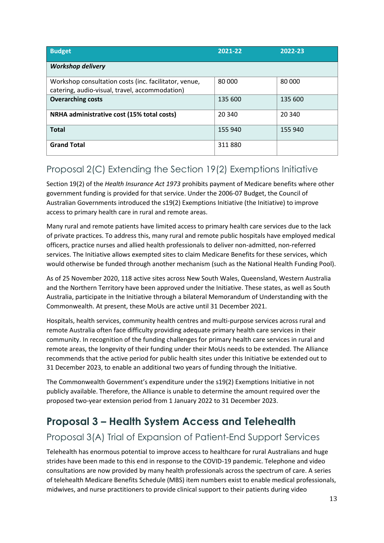| <b>Budget</b>                                                                                           | 2021-22 | 2022-23 |
|---------------------------------------------------------------------------------------------------------|---------|---------|
| <b>Workshop delivery</b>                                                                                |         |         |
| Workshop consultation costs (inc. facilitator, venue,<br>catering, audio-visual, travel, accommodation) | 80 000  | 80 000  |
| <b>Overarching costs</b>                                                                                | 135 600 | 135 600 |
| NRHA administrative cost (15% total costs)                                                              | 20 340  | 20 340  |
| <b>Total</b>                                                                                            | 155 940 | 155 940 |
| <b>Grand Total</b>                                                                                      | 311880  |         |

## <span id="page-18-0"></span>Proposal 2(C) Extending the Section 19(2) Exemptions Initiative

Section 19(2) of the *Health Insurance Act 1973* prohibits payment of Medicare benefits where other government funding is provided for that service. Under the 2006-07 Budget, the Council of Australian Governments introduced the s19(2) Exemptions Initiative (the Initiative) to improve access to primary health care in rural and remote areas.

Many rural and remote patients have limited access to primary health care services due to the lack of private practices. To address this, many rural and remote public hospitals have employed medical officers, practice nurses and allied health professionals to deliver non-admitted, non-referred services. The Initiative allows exempted sites to claim Medicare Benefits for these services, which would otherwise be funded through another mechanism (such as the National Health Funding Pool).

As of 25 November 2020, 118 active sites across New South Wales, Queensland, Western Australia and the Northern Territory have been approved under the Initiative. These states, as well as South Australia, participate in the Initiative through a bilateral Memorandum of Understanding with the Commonwealth. At present, these MoUs are active until 31 December 2021.

Hospitals, health services, community health centres and multi-purpose services across rural and remote Australia often face difficulty providing adequate primary health care services in their community. In recognition of the funding challenges for primary health care services in rural and remote areas, the longevity of their funding under their MoUs needs to be extended. The Alliance recommends that the active period for public health sites under this Initiative be extended out to 31 December 2023, to enable an additional two years of funding through the Initiative.

The Commonwealth Government's expenditure under the s19(2) Exemptions Initiative in not publicly available. Therefore, the Alliance is unable to determine the amount required over the proposed two-year extension period from 1 January 2022 to 31 December 2023.

# <span id="page-18-1"></span>**Proposal 3 – Health System Access and Telehealth**

## <span id="page-18-2"></span>Proposal 3(A) Trial of Expansion of Patient-End Support Services

Telehealth has enormous potential to improve access to healthcare for rural Australians and huge strides have been made to this end in response to the COVID-19 pandemic. Telephone and video consultations are now provided by many health professionals across the spectrum of care. A series of telehealth Medicare Benefits Schedule (MBS) item numbers exist to enable medical professionals, midwives, and nurse practitioners to provide clinical support to their patients during video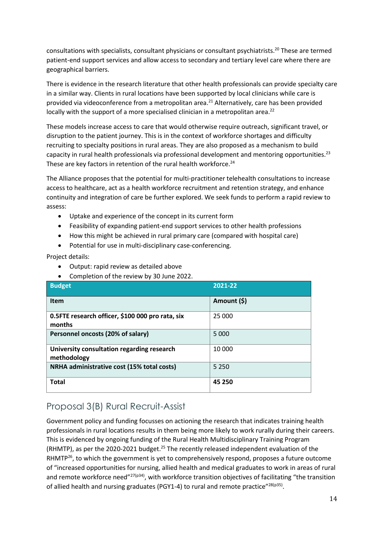consultations with specialists, consultant physicians or consultant psychiatrists.<sup>20</sup> These are termed patient-end support services and allow access to secondary and tertiary level care where there are geographical barriers.

There is evidence in the research literature that other health professionals can provide specialty care in a similar way. Clients in rural locations have been supported by local clinicians while care is provided via videoconference from a metropolitan area.<sup>21</sup> Alternatively, care has been provided locally with the support of a more specialised clinician in a metropolitan area.<sup>22</sup>

These models increase access to care that would otherwise require outreach, significant travel, or disruption to the patient journey. This is in the context of workforce shortages and difficulty recruiting to specialty positions in rural areas. They are also proposed as a mechanism to build capacity in rural health professionals via professional development and mentoring opportunities.<sup>23</sup> These are key factors in retention of the rural health workforce. $^{24}$ 

The Alliance proposes that the potential for multi-practitioner telehealth consultations to increase access to healthcare, act as a health workforce recruitment and retention strategy, and enhance continuity and integration of care be further explored. We seek funds to perform a rapid review to assess:

- Uptake and experience of the concept in its current form
- Feasibility of expanding patient-end support services to other health professions
- How this might be achieved in rural primary care (compared with hospital care)
- Potential for use in multi-disciplinary case-conferencing.

Project details:

- Output: rapid review as detailed above
- Completion of the review by 30 June 2022.

| <b>Budget</b>                                              | 2021-22     |
|------------------------------------------------------------|-------------|
| <b>Item</b>                                                | Amount (\$) |
| 0.5FTE research officer, \$100 000 pro rata, six<br>months | 25 000      |
| Personnel oncosts (20% of salary)                          | 5 0 0 0     |
| University consultation regarding research<br>methodology  | 10 000      |
| NRHA administrative cost (15% total costs)                 | 5 2 5 0     |
| <b>Total</b>                                               | 45 250      |

### <span id="page-19-0"></span>Proposal 3(B) Rural Recruit-Assist

Government policy and funding focusses on actioning the research that indicates training health professionals in rural locations results in them being more likely to work rurally during their careers. This is evidenced by ongoing funding of the Rural Health Multidisciplinary Training Program (RHMTP), as per the 2020-2021 budget.<sup>25</sup> The recently released independent evaluation of the RHMTP<sup>26</sup>, to which the government is yet to comprehensively respond, proposes a future outcome of "increased opportunities for nursing, allied health and medical graduates to work in areas of rural and remote workforce need"<sup>27(p34)</sup>, with workforce transition objectives of facilitating "the transition of allied health and nursing graduates (PGY1-4) to rural and remote practice"<sup>28(p35)</sup>.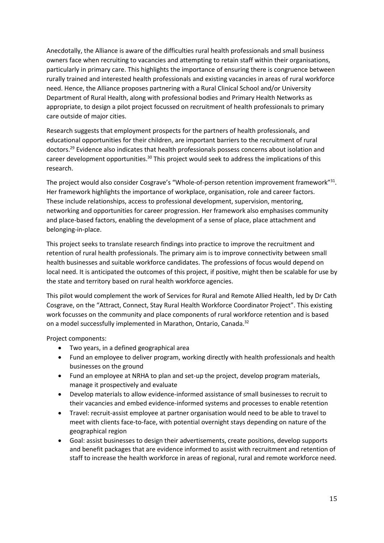Anecdotally, the Alliance is aware of the difficulties rural health professionals and small business owners face when recruiting to vacancies and attempting to retain staff within their organisations, particularly in primary care. This highlights the importance of ensuring there is congruence between rurally trained and interested health professionals and existing vacancies in areas of rural workforce need. Hence, the Alliance proposes partnering with a Rural Clinical School and/or University Department of Rural Health, along with professional bodies and Primary Health Networks as appropriate, to design a pilot project focussed on recruitment of health professionals to primary care outside of major cities.

Research suggests that employment prospects for the partners of health professionals, and educational opportunities for their children, are important barriers to the recruitment of rural doctors. <sup>29</sup> Evidence also indicates that health professionals possess concerns about isolation and career development opportunities.<sup>30</sup> This project would seek to address the implications of this research.

The project would also consider Cosgrave's "Whole-of-person retention improvement framework"<sup>31</sup>. Her framework highlights the importance of workplace, organisation, role and career factors. These include relationships, access to professional development, supervision, mentoring, networking and opportunities for career progression. Her framework also emphasises community and place-based factors, enabling the development of a sense of place, place attachment and belonging-in-place.

This project seeks to translate research findings into practice to improve the recruitment and retention of rural health professionals. The primary aim is to improve connectivity between small health businesses and suitable workforce candidates. The professions of focus would depend on local need. It is anticipated the outcomes of this project, if positive, might then be scalable for use by the state and territory based on rural health workforce agencies.

This pilot would complement the work of Services for Rural and Remote Allied Health, led by Dr Cath Cosgrave, on the "Attract, Connect, Stay Rural Health Workforce Coordinator Project". This existing work focusses on the community and place components of rural workforce retention and is based on a model successfully implemented in Marathon, Ontario, Canada.<sup>32</sup>

Project components:

- Two years, in a defined geographical area
- Fund an employee to deliver program, working directly with health professionals and health businesses on the ground
- Fund an employee at NRHA to plan and set-up the project, develop program materials, manage it prospectively and evaluate
- Develop materials to allow evidence-informed assistance of small businesses to recruit to their vacancies and embed evidence-informed systems and processes to enable retention
- Travel: recruit-assist employee at partner organisation would need to be able to travel to meet with clients face-to-face, with potential overnight stays depending on nature of the geographical region
- Goal: assist businesses to design their advertisements, create positions, develop supports and benefit packages that are evidence informed to assist with recruitment and retention of staff to increase the health workforce in areas of regional, rural and remote workforce need.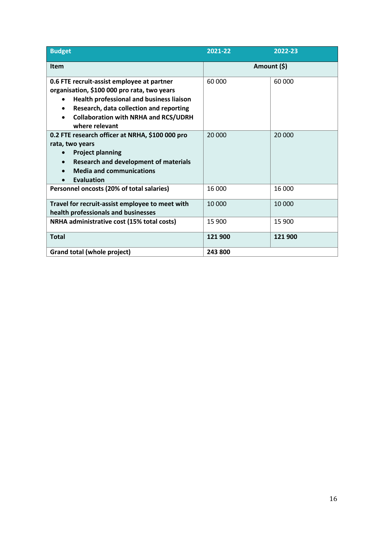| <b>Budget</b>                                         | 2021-22     | 2022-23 |  |
|-------------------------------------------------------|-------------|---------|--|
| Item                                                  | Amount (\$) |         |  |
| 0.6 FTE recruit-assist employee at partner            | 60 000      | 60 000  |  |
| organisation, \$100 000 pro rata, two years           |             |         |  |
| Health professional and business liaison<br>$\bullet$ |             |         |  |
| Research, data collection and reporting               |             |         |  |
| <b>Collaboration with NRHA and RCS/UDRH</b>           |             |         |  |
| where relevant                                        |             |         |  |
| 0.2 FTE research officer at NRHA, \$100 000 pro       | 20 000      | 20 000  |  |
| rata, two years                                       |             |         |  |
| <b>Project planning</b>                               |             |         |  |
| <b>Research and development of materials</b>          |             |         |  |
| <b>Media and communications</b>                       |             |         |  |
| <b>Evaluation</b>                                     |             |         |  |
| Personnel oncosts (20% of total salaries)             | 16 000      | 16 000  |  |
| Travel for recruit-assist employee to meet with       | 10 000      | 10 000  |  |
| health professionals and businesses                   |             |         |  |
| NRHA administrative cost (15% total costs)            | 15 900      | 15 900  |  |
| <b>Total</b>                                          | 121 900     | 121 900 |  |
| <b>Grand total (whole project)</b>                    | 243 800     |         |  |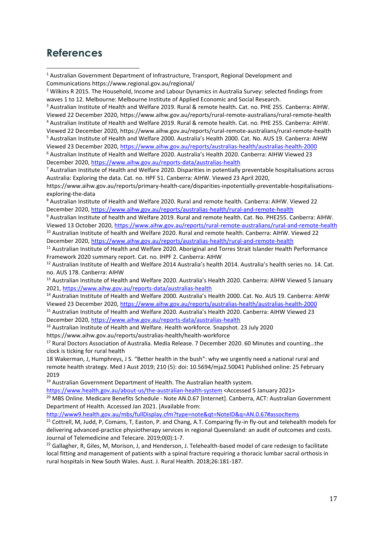### <span id="page-22-0"></span>**References**

<sup>3</sup> Australian Institute of Health and Welfare 2019. Rural & remote health. Cat. no. PHE 255. Canberra: AIHW. Viewed 22 December 2020, https://www.aihw.gov.au/reports/rural-remote-australians/rural-remote-health <sup>4</sup> Australian Institute of Health and Welfare 2019. Rural & remote health. Cat. no. PHE 255. Canberra: AIHW. Viewed 22 December 2020, https://www.aihw.gov.au/reports/rural-remote-australians/rural-remote-health

<sup>5</sup> Australian Institute of Health and Welfare 2000. Australia's Health 2000. Cat. No. AUS 19. Canberra: AIHW Viewed 23 December 2020,<https://www.aihw.gov.au/reports/australias-health/australias-health-2000>

<sup>6</sup> Australian Institute of Health and Welfare 2020. Australia's Health 2020. Canberra: AIHW Viewed 23 December 2020,<https://www.aihw.gov.au/reports-data/australias-health>

<sup>7</sup> Australian Institute of Health and Welfare 2020. Disparities in potentially preventable hospitalisations across Australia: Exploring the data. Cat. no. HPF 51. Canberra: AIHW. Viewed 23 April 2020,

https://www.aihw.gov.au/reports/primary-health-care/disparities-inpotentially-preventable-hospitalisationsexploring-the-data

<sup>8</sup> Australian Institute of Health and Welfare 2020. Rural and remote health. Canberra: AIHW. Viewed 22 December 2020,<https://www.aihw.gov.au/reports/australias-health/rural-and-remote-health>

<sup>9</sup> Australian Institute of health and Welfare 2019. Rural and remote health. Cat. No. PHE255. Canberra: AIHW. Viewed 13 October 2020[, https://www.aihw.gov.au/reports/rural-remote-australians/rural-and-remote-health](https://www.aihw.gov.au/reports/rural-remote-australians/rural-and-remote-health)

<sup>10</sup> Australian Institute of health and Welfare 2020. Rural and remote health. Canberra: AIHW. Viewed 22 December 2020,<https://www.aihw.gov.au/reports/australias-health/rural-and-remote-health>

<sup>11</sup> Australian Institute of Health and Welfare 2020. Aboriginal and Torres Strait Islander Health Performance Framework 2020 summary report. Cat. no. IHPF 2. Canberra: AIHW

<sup>12</sup> Australian Institute of Health and Welfare 2014 Australia's health 2014. Australia's health series no. 14. Cat. no. AUS 178. Canberra: AIHW

<sup>13</sup> Australian Institute of Health and Welfare 2020. Australia's Health 2020. Canberra: AIHW Viewed 5 January 2021,<https://www.aihw.gov.au/reports-data/australias-health>

<sup>14</sup> Australian Institute of Health and Welfare 2000. Australia's Health 2000. Cat. No. AUS 19. Canberra: AIHW Viewed 23 December 2020,<https://www.aihw.gov.au/reports/australias-health/australias-health-2000>

<sup>15</sup> Australian Institute of Health and Welfare 2020. Australia's Health 2020. Canberra: AIHW Viewed 23 December 2020,<https://www.aihw.gov.au/reports-data/australias-health>

<sup>16</sup> Australian Institute of Health and Welfare. Health workforce. Snapshot. 23 July 2020 https://www.aihw.gov.au/reports/australias-health/health-workforce

<sup>17</sup> Rural Doctors Association of Australia. Media Release. 7 December 2020. 60 Minutes and counting...the clock is ticking for rural health

18 Wakerman, J, Humphreys, J S. "Better health in the bush": why we urgently need a national rural and remote health strategy. Med J Aust 2019; 210 (5): doi: 10.5694/mja2.50041 Published online: 25 February 2019

<sup>19</sup> Australian Government Department of Health. The Australian health system.

<https://www.health.gov.au/about-us/the-australian-health-system> <Accessed 5 January 2021> <sup>20</sup> MBS Online. Medicare Benefits Schedule - Note AN.0.67 [Internet]. Canberra, ACT: Australian Government Department of Health. Accessed Jan 2021. [Available from:

<http://www9.health.gov.au/mbs/fullDisplay.cfm?type=note&qt=NoteID&q=AN.0.67#assocItems>

<sup>21</sup> Cottrell, M, Judd, P, Comans, T, Easton, P. and Chang, A.T. Comparing fly-in fly-out and telehealth models for delivering advanced-practice physiotherapy services in regional Queensland: an audit of outcomes and costs. Journal of Telemedicine and Telecare. 2019;0(0):1-7.

 $22$  Gallagher, R, Giles, M, Morison, J, and Henderson, J. Telehealth-based model of care redesign to facilitate local fitting and management of patients with a spinal fracture requiring a thoracic lumbar sacral orthosis in rural hospitals in New South Wales. Aust. J. Rural Health. 2018;26:181-187.

<sup>1</sup> Australian Government Department of Infrastructure, Transport, Regional Development and Communications https://www.regional.gov.au/regional/

<sup>&</sup>lt;sup>2</sup> Wilkins R 2015. The Household, Income and Labour Dynamics in Australia Survey: selected findings from [waves 1 to 12.](https://melbourneinstitute.unimelb.edu.au/__data/assets/pdf_file/0006/2155506/hilda-statreport-2015.pdf) Melbourne: Melbourne Institute of Applied Economic and Social Research.